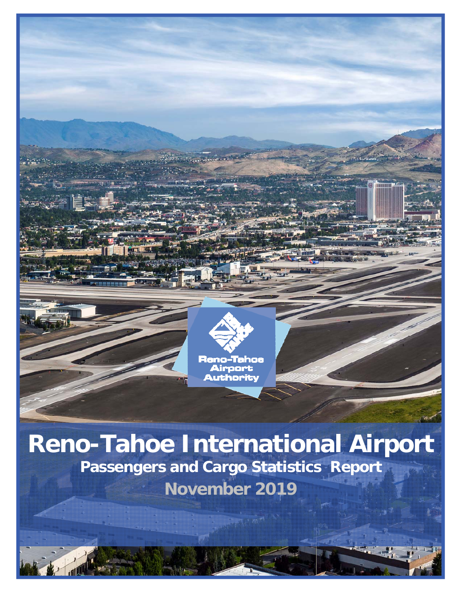

# **Reno-Tahoe International Airport Passengers and Cargo Statistics Report November 2019**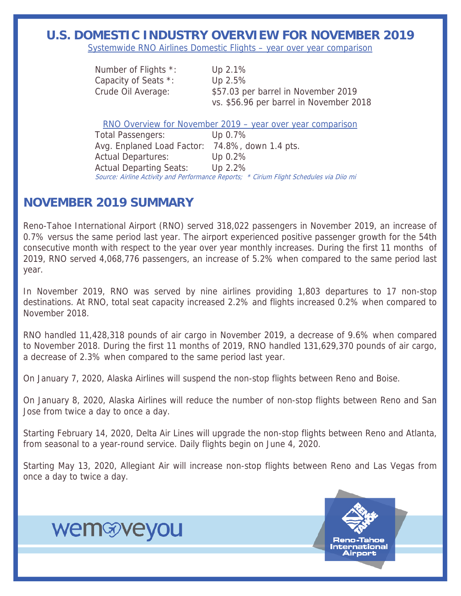#### **U.S. DOMESTIC INDUSTRY OVERVIEW FOR NOVEMBER 2019**

Systemwide RNO Airlines Domestic Flights – year over year comparison

| Number of Flights *: | Up $2.1\%$                              |
|----------------------|-----------------------------------------|
| Capacity of Seats *: | Up $2.5\%$                              |
| Crude Oil Average:   | \$57.03 per barrel in November 2019     |
|                      | vs. \$56.96 per barrel in November 2018 |

RNO Overview for November 2019 – year over year comparison

Total Passengers: Up 0.7% Avg. Enplaned Load Factor: 74.8%, down 1.4 pts. Actual Departures: Up 0.2% Actual Departing Seats: Up 2.2% Source: Airline Activity and Performance Reports; \* Cirium Flight Schedules via Diio mi

#### **NOVEMBER 2019 SUMMARY**

wemwyeyou

Reno-Tahoe International Airport (RNO) served 318,022 passengers in November 2019, an increase of 0.7% versus the same period last year. The airport experienced positive passenger growth for the 54th consecutive month with respect to the year over year monthly increases. During the first 11 months of 2019, RNO served 4,068,776 passengers, an increase of 5.2% when compared to the same period last year.

In November 2019, RNO was served by nine airlines providing 1,803 departures to 17 non-stop destinations. At RNO, total seat capacity increased 2.2% and flights increased 0.2% when compared to November 2018.

RNO handled 11,428,318 pounds of air cargo in November 2019, a decrease of 9.6% when compared to November 2018. During the first 11 months of 2019, RNO handled 131,629,370 pounds of air cargo, a decrease of 2.3% when compared to the same period last year.

On January 7, 2020, Alaska Airlines will suspend the non-stop flights between Reno and Boise.

On January 8, 2020, Alaska Airlines will reduce the number of non-stop flights between Reno and San Jose from twice a day to once a day.

Starting February 14, 2020, Delta Air Lines will upgrade the non-stop flights between Reno and Atlanta, from seasonal to a year-round service. Daily flights begin on June 4, 2020.

Starting May 13, 2020, Allegiant Air will increase non-stop flights between Reno and Las Vegas from once a day to twice a day.

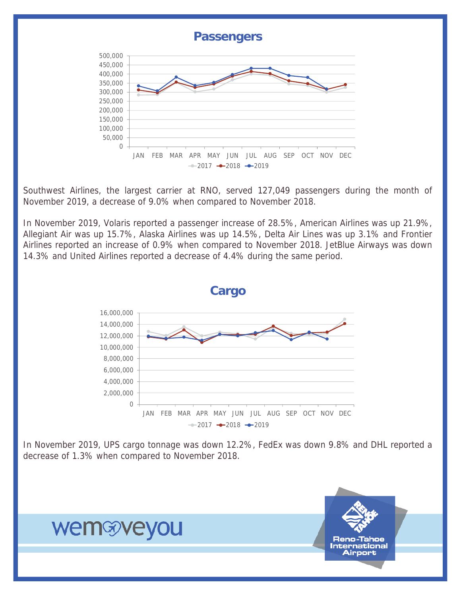

Southwest Airlines, the largest carrier at RNO, served 127,049 passengers during the month of November 2019, a decrease of 9.0% when compared to November 2018.

In November 2019, Volaris reported a passenger increase of 28.5%, American Airlines was up 21.9%, Allegiant Air was up 15.7%, Alaska Airlines was up 14.5%, Delta Air Lines was up 3.1% and Frontier Airlines reported an increase of 0.9% when compared to November 2018. JetBlue Airways was down 14.3% and United Airlines reported a decrease of 4.4% during the same period.



In November 2019, UPS cargo tonnage was down 12.2%, FedEx was down 9.8% and DHL reported a decrease of 1.3% when compared to November 2018.

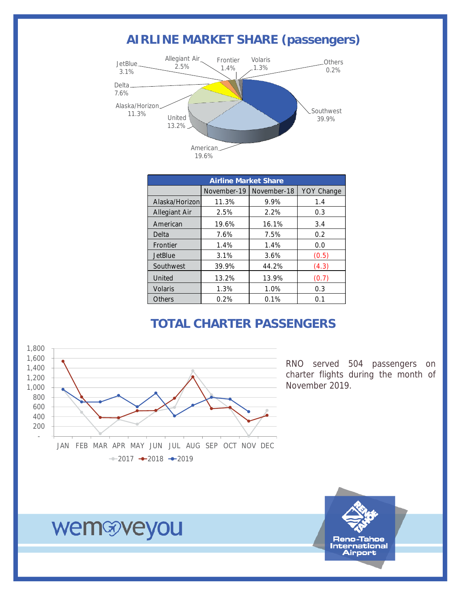### **AIRLINE MARKET SHARE (passengers)**



| <b>Airline Market Share</b> |             |             |                   |  |  |  |  |  |
|-----------------------------|-------------|-------------|-------------------|--|--|--|--|--|
|                             | November-19 | November-18 | <b>YOY Change</b> |  |  |  |  |  |
| Alaska/Horizon              | 11.3%       | 9.9%        | 1.4               |  |  |  |  |  |
| <b>Allegiant Air</b>        | 2.5%        | 2.2%        | 0.3               |  |  |  |  |  |
| American                    | 19.6%       | 16.1%       | 3.4               |  |  |  |  |  |
| Delta                       | 7.6%        | 7.5%        | 0.2               |  |  |  |  |  |
| Frontier                    | 1.4%        | 1.4%        | 0.0               |  |  |  |  |  |
| <b>JetBlue</b>              | 3.1%        | 3.6%        | (0.5)             |  |  |  |  |  |
| Southwest                   | 39.9%       | 44.2%       | (4.3)             |  |  |  |  |  |
| United                      | 13.2%       | 13.9%       | (0.7)             |  |  |  |  |  |
| <b>Volaris</b>              | 1.3%        | 1.0%        | 0.3               |  |  |  |  |  |
| Others                      | 0.2%        | 0.1%        | 0.1               |  |  |  |  |  |

#### **TOTAL CHARTER PASSENGERS**



RNO served 504 passengers on charter flights during the month of November 2019.

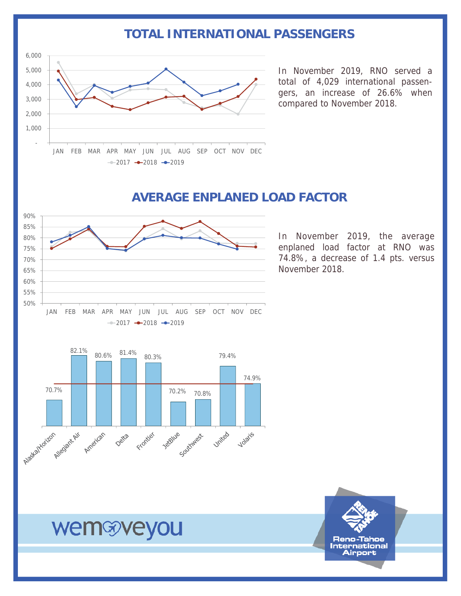#### **TOTAL INTERNATIONAL PASSENGERS**



In November 2019, RNO served a total of 4,029 international passengers, an increase of 26.6% when compared to November 2018.



#### **AVERAGE ENPLANED LOAD FACTOR**

In November 2019, the average enplaned load factor at RNO was 74.8%, a decrease of 1.4 pts. versus November 2018.



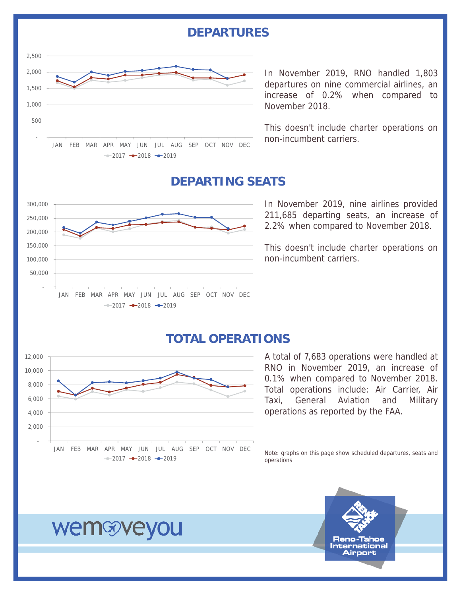#### **DEPARTURES**



In November 2019, RNO handled 1,803 departures on nine commercial airlines, an increase of 0.2% when compared to November 2018.

This doesn't include charter operations on non-incumbent carriers.

#### **DEPARTING SEATS**

![](_page_5_Figure_5.jpeg)

In November 2019, nine airlines provided 211,685 departing seats, an increase of 2.2% when compared to November 2018.

This doesn't include charter operations on non-incumbent carriers.

#### **TOTAL OPERATIONS**

![](_page_5_Figure_9.jpeg)

## A total of 7,683 operations were handled at RNO in November 2019, an increase of

0.1% when compared to November 2018. Total operations include: Air Carrier, Air Taxi, General Aviation and Military operations as reported by the FAA.

Note: graphs on this page show scheduled departures, seats and operations

![](_page_5_Picture_13.jpeg)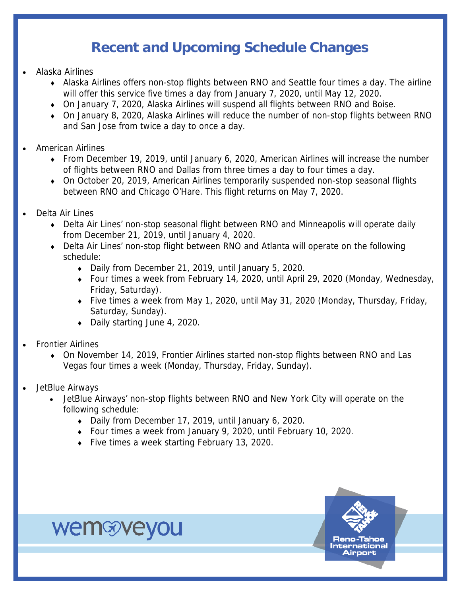## **Recent and Upcoming Schedule Changes**

- Alaska Airlines
	- Alaska Airlines offers non-stop flights between RNO and Seattle four times a day. The airline will offer this service five times a day from January 7, 2020, until May 12, 2020.
	- On January 7, 2020, Alaska Airlines will suspend all flights between RNO and Boise.
	- On January 8, 2020, Alaska Airlines will reduce the number of non-stop flights between RNO and San Jose from twice a day to once a day.
- American Airlines
	- From December 19, 2019, until January 6, 2020, American Airlines will increase the number of flights between RNO and Dallas from three times a day to four times a day.
	- On October 20, 2019, American Airlines temporarily suspended non-stop seasonal flights between RNO and Chicago O'Hare. This flight returns on May 7, 2020.
- Delta Air Lines
	- Delta Air Lines' non-stop seasonal flight between RNO and Minneapolis will operate daily from December 21, 2019, until January 4, 2020.
	- Delta Air Lines' non-stop flight between RNO and Atlanta will operate on the following schedule:
		- Daily from December 21, 2019, until January 5, 2020.
		- Four times a week from February 14, 2020, until April 29, 2020 (Monday, Wednesday, Friday, Saturday).
		- Five times a week from May 1, 2020, until May 31, 2020 (Monday, Thursday, Friday, Saturday, Sunday).
		- Daily starting June 4, 2020.

- Frontier Airlines
	- On November 14, 2019, Frontier Airlines started non-stop flights between RNO and Las Vegas four times a week (Monday, Thursday, Friday, Sunday).
- JetBlue Airways
	- JetBlue Airways' non-stop flights between RNO and New York City will operate on the following schedule:
		- Daily from December 17, 2019, until January 6, 2020.
		- Four times a week from January 9, 2020, until February 10, 2020.
		- Five times a week starting February 13, 2020.

![](_page_6_Picture_22.jpeg)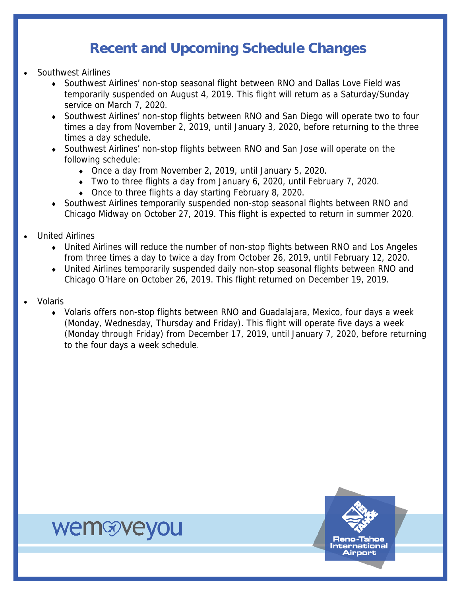### **Recent and Upcoming Schedule Changes**

- Southwest Airlines
	- Southwest Airlines' non-stop seasonal flight between RNO and Dallas Love Field was temporarily suspended on August 4, 2019. This flight will return as a Saturday/Sunday service on March 7, 2020.
	- Southwest Airlines' non-stop flights between RNO and San Diego will operate two to four times a day from November 2, 2019, until January 3, 2020, before returning to the three times a day schedule.
	- Southwest Airlines' non-stop flights between RNO and San Jose will operate on the following schedule:
		- Once a day from November 2, 2019, until January 5, 2020.
		- Two to three flights a day from January 6, 2020, until February 7, 2020.
		- Once to three flights a day starting February 8, 2020.
	- Southwest Airlines temporarily suspended non-stop seasonal flights between RNO and Chicago Midway on October 27, 2019. This flight is expected to return in summer 2020.
- United Airlines

- United Airlines will reduce the number of non-stop flights between RNO and Los Angeles from three times a day to twice a day from October 26, 2019, until February 12, 2020.
- United Airlines temporarily suspended daily non-stop seasonal flights between RNO and Chicago O'Hare on October 26, 2019. This flight returned on December 19, 2019.
- Volaris
	- Volaris offers non-stop flights between RNO and Guadalajara, Mexico, four days a week (Monday, Wednesday, Thursday and Friday). This flight will operate five days a week (Monday through Friday) from December 17, 2019, until January 7, 2020, before returning to the four days a week schedule.

![](_page_7_Picture_14.jpeg)